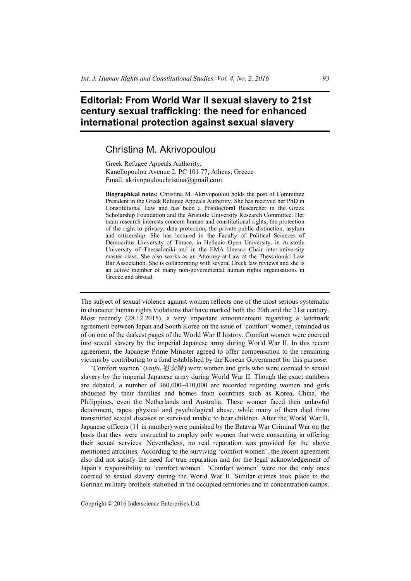## **Editorial: From World War II sexual slavery to 21st century sexual trafficking: the need for enhanced international protection against sexual slavery**

## Christina M. Akrivopoulou

Greek Refugee Appeals Authority, Kanellopoulou Avenue 2, PC 101 77, Athens, Greece Email: akrivopoulouchristina@gmail.com

**Biographical notes:** Christina M. Akrivopoulou holds the post of Committee President in the Greek Refugee Appeals Authority. She has received her PhD in Constitutional Law and has been a Postdoctoral Researcher in the Greek Scholarship Foundation and the Aristotle University Research Committee. Her main research interests concern human and constitutional rights, the protection of the right to privacy, data protection, the private-public distinction, asylum and citizenship. She has lectured in the Faculty of Political Sciences of Democritus University of Thrace, in Hellenic Open University, in Aristotle University of Thessaloniki and in the EMA Unesco Chair inter-university master class. She also works as an Attorney-at-Law at the Thessaloniki Law Bar Association. She is collaborating with several Greek law reviews and she is an active member of many non-governmental human rights organisations in Greece and abroad.

The subject of sexual violence against women reflects one of the most serious systematic in character human rights violations that have marked both the 20th and the 21st century. Most recently (28.12.2015), a very important announcement regarding a landmark agreement between Japan and South Korea on the issue of 'comfort' women, reminded us of on one of the darkest pages of the World War II history. Comfort women were coerced into sexual slavery by the imperial Japanese army during World War II. In this recent agreement, the Japanese Prime Minister agreed to offer compensation to the remaining victims by contributing to a fund established by the Korean Government for this purpose.

'Comfort women' (*ianfu*, 慰安婦) were women and girls who were coerced to sexual slavery by the imperial Japanese army during World War II. Though the exact numbers are debated, a number of 360,000–410,000 are recorded regarding women and girls abducted by their families and homes from countries such as Korea, China, the Philippines, even the Netherlands and Australia. These women faced their unlawful detainment, rapes, physical and psychological abuse, while many of them died from transmitted sexual diseases or survived unable to bear children. After the World War II, Japanese officers (11 in number) were punished by the Batavia War Criminal War on the basis that they were instructed to employ only women that were consenting in offering their sexual services. Nevertheless, no real reparation was provided for the above mentioned atrocities. According to the surviving 'comfort women', the recent agreement also did not satisfy the need for true reparation and for the legal acknowledgement of Japan's responsibility to 'comfort women'. 'Comfort women' were not the only ones coerced to sexual slavery during the World War II. Similar crimes took place in the German military brothels stationed in the occupied territories and in concentration camps.

Copyright © 2016 Inderscience Enterprises Ltd.